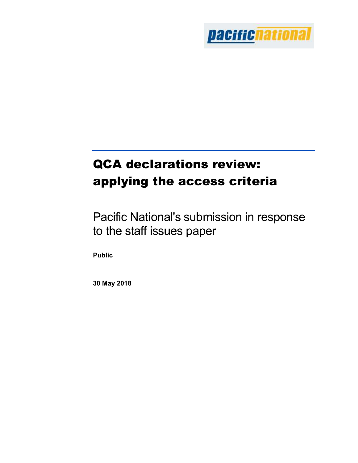

# QCA declarations review: applying the access criteria

Pacific National's submission in response to the staff issues paper

Public

30 May 2018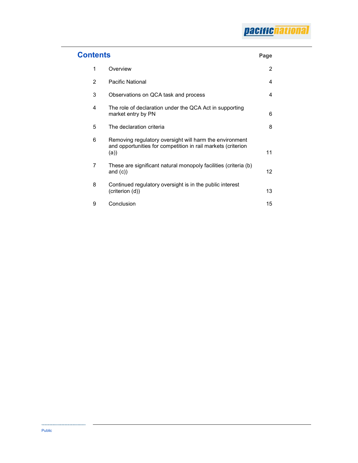| <b>Contents</b> |                                                                                                                                 | Page |
|-----------------|---------------------------------------------------------------------------------------------------------------------------------|------|
| 1               | Overview                                                                                                                        | 2    |
| $\mathcal{P}$   | <b>Pacific National</b>                                                                                                         | 4    |
| 3               | Observations on QCA task and process                                                                                            | 4    |
| 4               | The role of declaration under the QCA Act in supporting<br>market entry by PN                                                   | 6    |
| 5               | The declaration criteria                                                                                                        | 8    |
| 6               | Removing regulatory oversight will harm the environment<br>and opportunities for competition in rail markets (criterion<br>(a)) | 11   |
| 7               | These are significant natural monopoly facilities (criteria (b)<br>and $(c)$                                                    | 12   |
| 8               | Continued regulatory oversight is in the public interest<br>(criterion (d))                                                     | 13   |
| 9               | Conclusion                                                                                                                      | 15   |

....................................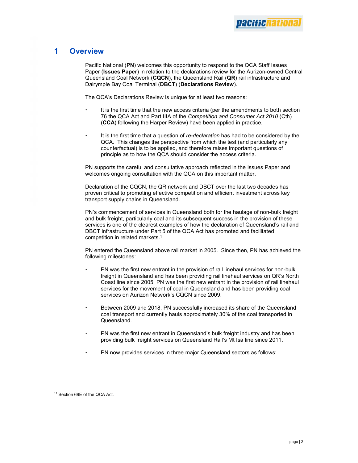## 1 Overview

Pacific National (PN) welcomes this opportunity to respond to the QCA Staff Issues Paper (Issues Paper) in relation to the declarations review for the Aurizon-owned Central Queensland Coal Network (CQCN), the Queensland Rail (QR) rail infrastructure and Dalrymple Bay Coal Terminal (DBCT) (Declarations Review).

The QCA's Declarations Review is unique for at least two reasons:

- It is the first time that the new access criteria (per the amendments to both section 76 the QCA Act and Part IIIA of the Competition and Consumer Act 2010 (Cth) (CCA) following the Harper Review) have been applied in practice.
- It is the first time that a question of re-declaration has had to be considered by the QCA. This changes the perspective from which the test (and particularly any counterfactual) is to be applied, and therefore raises important questions of principle as to how the QCA should consider the access criteria.

PN supports the careful and consultative approach reflected in the Issues Paper and welcomes ongoing consultation with the QCA on this important matter.

Declaration of the CQCN, the QR network and DBCT over the last two decades has proven critical to promoting effective competition and efficient investment across key transport supply chains in Queensland.

PN's commencement of services in Queensland both for the haulage of non-bulk freight and bulk freight, particularly coal and its subsequent success in the provision of these services is one of the clearest examples of how the declaration of Queensland's rail and DBCT infrastructure under Part 5 of the QCA Act has promoted and facilitated competition in related markets.<sup>1</sup>

PN entered the Queensland above rail market in 2005. Since then, PN has achieved the following milestones:

- PN was the first new entrant in the provision of rail linehaul services for non-bulk freight in Queensland and has been providing rail linehaul services on QR's North Coast line since 2005. PN was the first new entrant in the provision of rail linehaul services for the movement of coal in Queensland and has been providing coal services on Aurizon Network's CQCN since 2009.
- Between 2009 and 2018, PN successfully increased its share of the Queensland coal transport and currently hauls approximately 30% of the coal transported in Queensland.
- PN was the first new entrant in Queensland's bulk freight industry and has been providing bulk freight services on Queensland Rail's Mt Isa line since 2011.
- PN now provides services in three major Queensland sectors as follows:

<sup>11</sup> Section 69E of the QCA Act.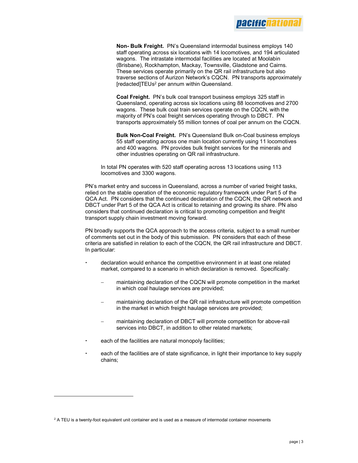

Non- Bulk Freight. PN's Queensland intermodal business employs 140 staff operating across six locations with 14 locomotives, and 194 articulated wagons. The intrastate intermodal facilities are located at Moolabin (Brisbane), Rockhampton, Mackay, Townsville, Gladstone and Cairns. These services operate primarily on the QR rail infrastructure but also traverse sections of Aurizon Network's CQCN. PN transports approximately [redacted]TEUs<sup>2</sup> per annum within Queensland.

Coal Freight. PN's bulk coal transport business employs 325 staff in Queensland, operating across six locations using 88 locomotives and 2700 wagons. These bulk coal train services operate on the CQCN, with the majority of PN's coal freight services operating through to DBCT. PN transports approximately 55 million tonnes of coal per annum on the CQCN.

Bulk Non-Coal Freight. PN's Queensland Bulk on-Coal business employs 55 staff operating across one main location currently using 11 locomotives and 400 wagons. PN provides bulk freight services for the minerals and other industries operating on QR rail infrastructure.

In total PN operates with 520 staff operating across 13 locations using 113 locomotives and 3300 wagons.

PN's market entry and success in Queensland, across a number of varied freight tasks, relied on the stable operation of the economic regulatory framework under Part 5 of the QCA Act. PN considers that the continued declaration of the CQCN, the QR network and DBCT under Part 5 of the QCA Act is critical to retaining and growing its share. PN also considers that continued declaration is critical to promoting competition and freight transport supply chain investment moving forward.

PN broadly supports the QCA approach to the access criteria, subject to a small number of comments set out in the body of this submission. PN considers that each of these criteria are satisfied in relation to each of the CQCN, the QR rail infrastructure and DBCT. In particular:

- declaration would enhance the competitive environment in at least one related market, compared to a scenario in which declaration is removed. Specifically:
	- maintaining declaration of the CQCN will promote competition in the market in which coal haulage services are provided;
	- maintaining declaration of the QR rail infrastructure will promote competition in the market in which freight haulage services are provided;
	- maintaining declaration of DBCT will promote competition for above-rail services into DBCT, in addition to other related markets;
- each of the facilities are natural monopoly facilities;

 each of the facilities are of state significance, in light their importance to key supply chains;

 $^2$  A TEU is a twenty-foot equivalent unit container and is used as a measure of intermodal container movements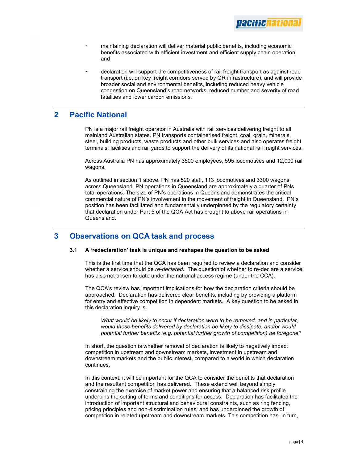

- maintaining declaration will deliver material public benefits, including economic benefits associated with efficient investment and efficient supply chain operation; and
- declaration will support the competitiveness of rail freight transport as against road transport (i.e. on key freight corridors served by QR infrastructure), and will provide broader social and environmental benefits, including reduced heavy vehicle congestion on Queensland's road networks, reduced number and severity of road fatalities and lower carbon emissions.

## 2 Pacific National

PN is a major rail freight operator in Australia with rail services delivering freight to all mainland Australian states. PN transports containerised freight, coal, grain, minerals, steel, building products, waste products and other bulk services and also operates freight terminals, facilities and rail yards to support the delivery of its national rail freight services.

Across Australia PN has approximately 3500 employees, 595 locomotives and 12,000 rail wagons.

As outlined in section 1 above, PN has 520 staff, 113 locomotives and 3300 wagons across Queensland. PN operations in Queensland are approximately a quarter of PNs total operations. The size of PN's operations in Queensland demonstrates the critical commercial nature of PN's involvement in the movement of freight in Queensland. PN's position has been facilitated and fundamentally underpinned by the regulatory certainty that declaration under Part 5 of the QCA Act has brought to above rail operations in Queensland.

## 3 Observations on QCA task and process

#### 3.1 A 'redeclaration' task is unique and reshapes the question to be asked

This is the first time that the QCA has been required to review a declaration and consider whether a service should be *re-declared*. The question of whether to re-declare a service has also not arisen to date under the national access regime (under the CCA).

The QCA's review has important implications for how the declaration criteria should be approached. Declaration has delivered clear benefits, including by providing a platform for entry and effective competition in dependent markets. A key question to be asked in this declaration inquiry is:

What would be likely to occur if declaration were to be removed, and in particular, would these benefits delivered by declaration be likely to dissipate, and/or would potential further benefits (e.g. potential further growth of competition) be foregone?

In short, the question is whether removal of declaration is likely to negatively impact competition in upstream and downstream markets, investment in upstream and downstream markets and the public interest, compared to a world in which declaration continues.

In this context, it will be important for the QCA to consider the benefits that declaration and the resultant competition has delivered. These extend well beyond simply constraining the exercise of market power and ensuring that a balanced risk profile underpins the setting of terms and conditions for access. Declaration has facilitated the introduction of important structural and behavioural constraints, such as ring fencing, pricing principles and non-discrimination rules, and has underpinned the growth of competition in related upstream and downstream markets. This competition has, in turn,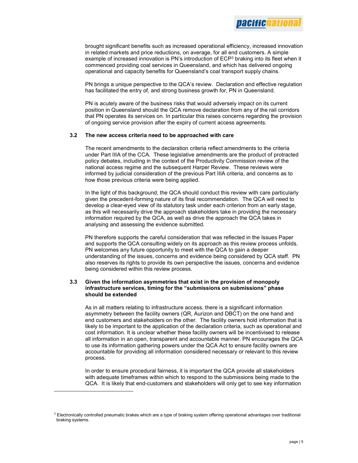brought significant benefits such as increased operational efficiency, increased innovation in related markets and price reductions, on average, for all end customers. A simple example of increased innovation is PN's introduction of ECP<sup>3</sup> braking into its fleet when it commenced providing coal services in Queensland, and which has delivered ongoing operational and capacity benefits for Queensland's coal transport supply chains.

PN brings a unique perspective to the QCA's review. Declaration and effective regulation has facilitated the entry of, and strong business growth for, PN in Queensland.

PN is acutely aware of the business risks that would adversely impact on its current position in Queensland should the QCA remove declaration from any of the rail corridors that PN operates its services on. In particular this raises concerns regarding the provision of ongoing service provision after the expiry of current access agreements.

#### 3.2 The new access criteria need to be approached with care

The recent amendments to the declaration criteria reflect amendments to the criteria under Part IIIA of the CCA. These legislative amendments are the product of protracted policy debates, including in the context of the Productivity Commission review of the national access regime and the subsequent Harper Review. These reviews were informed by judicial consideration of the previous Part IIIA criteria, and concerns as to how those previous criteria were being applied.

In the light of this background, the QCA should conduct this review with care particularly given the precedent-forming nature of its final recommendation. The QCA will need to develop a clear-eyed view of its statutory task under each criterion from an early stage, as this will necessarily drive the approach stakeholders take in providing the necessary information required by the QCA, as well as drive the approach the QCA takes in analysing and assessing the evidence submitted.

PN therefore supports the careful consideration that was reflected in the Issues Paper and supports the QCA consulting widely on its approach as this review process unfolds. PN welcomes any future opportunity to meet with the QCA to gain a deeper understanding of the issues, concerns and evidence being considered by QCA staff. PN also reserves its rights to provide its own perspective the issues, concerns and evidence being considered within this review process.

#### 3.3 Given the information asymmetries that exist in the provision of monopoly infrastructure services, timing for the "submissions on submissions" phase should be extended

As in all matters relating to infrastructure access, there is a significant information asymmetry between the facility owners (QR, Aurizon and DBCT) on the one hand and end customers and stakeholders on the other. The facility owners hold information that is likely to be important to the application of the declaration criteria, such as operational and cost information. It is unclear whether these facility owners will be incentivised to release all information in an open, transparent and accountable manner. PN encourages the QCA to use its information gathering powers under the QCA Act to ensure facility owners are accountable for providing all information considered necessary or relevant to this review process.

In order to ensure procedural fairness, it is important the QCA provide all stakeholders with adequate timeframes within which to respond to the submissions being made to the QCA. It is likely that end-customers and stakeholders will only get to see key information

 $3$  Electronically controlled pneumatic brakes which are a type of braking system offering operational advantages over traditional braking systems.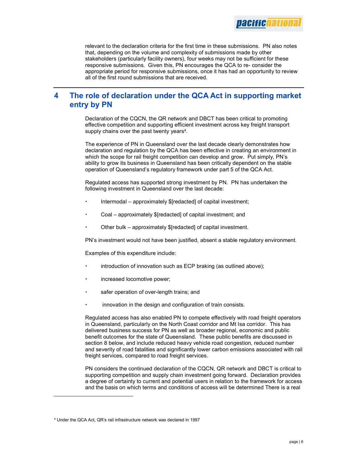

relevant to the declaration criteria for the first time in these submissions. PN also notes that, depending on the volume and complexity of submissions made by other stakeholders (particularly facility owners), four weeks may not be sufficient for these responsive submissions. Given this, PN encourages the QCA to re- consider the appropriate period for responsive submissions, once it has had an opportunity to review all of the first round submissions that are received.

# 4 The role of declaration under the QCA Act in supporting market entry by PN

Declaration of the CQCN, the QR network and DBCT has been critical to promoting effective competition and supporting efficient investment across key freight transport supply chains over the past twenty years<sup>4</sup>.

The experience of PN in Queensland over the last decade clearly demonstrates how declaration and regulation by the QCA has been effective in creating an environment in which the scope for rail freight competition can develop and grow. Put simply, PN's ability to grow its business in Queensland has been critically dependent on the stable operation of Queensland's regulatory framework under part 5 of the QCA Act.

Regulated access has supported strong investment by PN. PN has undertaken the following investment in Queensland over the last decade:

- Intermodal approximately \$[redacted] of capital investment;
- Coal approximately \$[redacted] of capital investment; and
- Other bulk approximately \$[redacted] of capital investment.

PN's investment would not have been justified, absent a stable regulatory environment.

Examples of this expenditure include:

- introduction of innovation such as ECP braking (as outlined above);
- increased locomotive power;
- safer operation of over-length trains; and
- innovation in the design and configuration of train consists.

Regulated access has also enabled PN to compete effectively with road freight operators in Queensland, particularly on the North Coast corridor and Mt Isa corridor. This has delivered business success for PN as well as broader regional, economic and public benefit outcomes for the state of Queensland. These public benefits are discussed in section 8 below, and include reduced heavy vehicle road congestion, reduced number and severity of road fatalities and significantly lower carbon emissions associated with rail freight services, compared to road freight services.

PN considers the continued declaration of the CQCN, QR network and DBCT is critical to supporting competition and supply chain investment going forward. Declaration provides a degree of certainty to current and potential users in relation to the framework for access and the basis on which terms and conditions of access will be determined There is a real

<sup>4</sup> Under the QCA Act, QR's rail infrastructure network was declared in 1997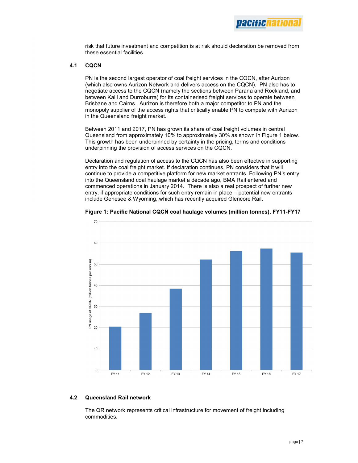

risk that future investment and competition is at risk should declaration be removed from these essential facilities.

#### 4.1 CQCN

PN is the second largest operator of coal freight services in the CQCN, after Aurizon (which also owns Aurizon Network and delivers access on the CQCN). PN also has to negotiate access to the CQCN (namely the sections between Parana and Rockland, and between Kaili and Durroburra) for its containerised freight services to operate between Brisbane and Cairns. Aurizon is therefore both a major competitor to PN and the monopoly supplier of the access rights that critically enable PN to compete with Aurizon in the Queensland freight market.

Between 2011 and 2017, PN has grown its share of coal freight volumes in central Queensland from approximately 10% to approximately 30% as shown in Figure 1 below. This growth has been underpinned by certainty in the pricing, terms and conditions underpinning the provision of access services on the CQCN.

Declaration and regulation of access to the CQCN has also been effective in supporting entry into the coal freight market. If declaration continues, PN considers that it will continue to provide a competitive platform for new market entrants. Following PN's entry into the Queensland coal haulage market a decade ago, BMA Rail entered and commenced operations in January 2014. There is also a real prospect of further new entry, if appropriate conditions for such entry remain in place – potential new entrants include Genesee & Wyoming, which has recently acquired Glencore Rail.





#### 4.2 Queensland Rail network

The QR network represents critical infrastructure for movement of freight including commodities.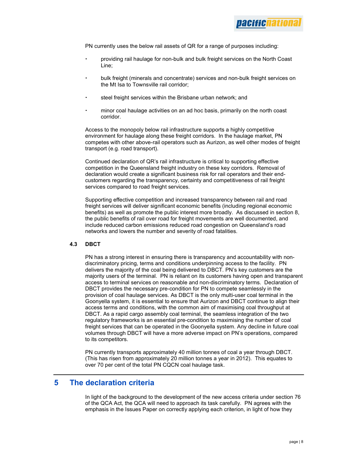PN currently uses the below rail assets of QR for a range of purposes including:

- providing rail haulage for non-bulk and bulk freight services on the North Coast Line;
- bulk freight (minerals and concentrate) services and non-bulk freight services on the Mt Isa to Townsville rail corridor;
- steel freight services within the Brisbane urban network; and
- minor coal haulage activities on an ad hoc basis, primarily on the north coast corridor.

Access to the monopoly below rail infrastructure supports a highly competitive environment for haulage along these freight corridors. In the haulage market, PN competes with other above-rail operators such as Aurizon, as well other modes of freight transport (e.g. road transport).

Continued declaration of QR's rail infrastructure is critical to supporting effective competition in the Queensland freight industry on these key corridors. Removal of declaration would create a significant business risk for rail operators and their endcustomers regarding the transparency, certainty and competitiveness of rail freight services compared to road freight services.

Supporting effective competition and increased transparency between rail and road freight services will deliver significant economic benefits (including regional economic benefits) as well as promote the public interest more broadly. As discussed in section 8, the public benefits of rail over road for freight movements are well documented, and include reduced carbon emissions reduced road congestion on Queensland's road networks and lowers the number and severity of road fatalities.

#### 4.3 DBCT

PN has a strong interest in ensuring there is transparency and accountability with nondiscriminatory pricing, terms and conditions underpinning access to the facility. PN delivers the majority of the coal being delivered to DBCT. PN's key customers are the majority users of the terminal. PN is reliant on its customers having open and transparent access to terminal services on reasonable and non-discriminatory terms. Declaration of DBCT provides the necessary pre-condition for PN to compete seamlessly in the provision of coal haulage services. As DBCT is the only multi-user coal terminal in the Goonyella system, it is essential to ensure that Aurizon and DBCT continue to align their access terms and conditions, with the common aim of maximising coal throughput at DBCT. As a rapid cargo assembly coal terminal, the seamless integration of the two regulatory frameworks is an essential pre-condition to maximising the number of coal freight services that can be operated in the Goonyella system. Any decline in future coal volumes through DBCT will have a more adverse impact on PN's operations, compared to its competitors.

PN currently transports approximately 40 million tonnes of coal a year through DBCT. (This has risen from approximately 20 million tonnes a year in 2012). This equates to over 70 per cent of the total PN CQCN coal haulage task.

## 5 The declaration criteria

In light of the background to the development of the new access criteria under section 76 of the QCA Act, the QCA will need to approach its task carefully. PN agrees with the emphasis in the Issues Paper on correctly applying each criterion, in light of how they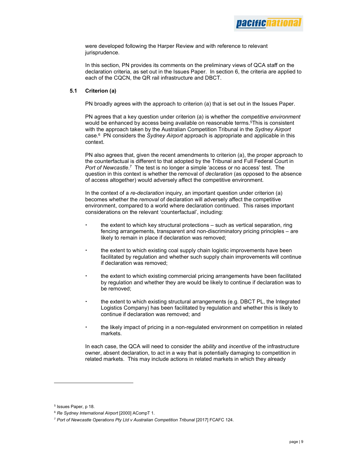

were developed following the Harper Review and with reference to relevant jurisprudence.

In this section, PN provides its comments on the preliminary views of QCA staff on the declaration criteria, as set out in the Issues Paper. In section 6, the criteria are applied to each of the CQCN, the QR rail infrastructure and DBCT.

#### 5.1 Criterion (a)

PN broadly agrees with the approach to criterion (a) that is set out in the Issues Paper.

PN agrees that a key question under criterion (a) is whether the *competitive environment* would be enhanced by access being available on reasonable terms.<sup>5</sup>This is consistent with the approach taken by the Australian Competition Tribunal in the Sydney Airport case.<sup>6</sup> PN considers the Sydney Airport approach is appropriate and applicable in this context.

PN also agrees that, given the recent amendments to criterion (a), the proper approach to the counterfactual is different to that adopted by the Tribunal and Full Federal Court in Port of Newcastle.<sup>7</sup> The test is no longer a simple 'access or no access' test. The question in this context is whether the removal of declaration (as opposed to the absence of access altogether) would adversely affect the competitive environment.

In the context of a re-declaration inquiry, an important question under criterion (a) becomes whether the removal of declaration will adversely affect the competitive environment, compared to a world where declaration continued. This raises important considerations on the relevant 'counterfactual', including:

- the extent to which key structural protections such as vertical separation, ring fencing arrangements, transparent and non-discriminatory pricing principles – are likely to remain in place if declaration was removed;
- the extent to which existing coal supply chain logistic improvements have been facilitated by regulation and whether such supply chain improvements will continue if declaration was removed;
- the extent to which existing commercial pricing arrangements have been facilitated by regulation and whether they are would be likely to continue if declaration was to be removed;
- the extent to which existing structural arrangements (e.g. DBCT PL, the Integrated Logistics Company) has been facilitated by regulation and whether this is likely to continue if declaration was removed; and
- the likely impact of pricing in a non-regulated environment on competition in related markets.

In each case, the QCA will need to consider the *ability* and *incentive* of the infrastructure owner, absent declaration, to act in a way that is potentially damaging to competition in related markets. This may include actions in related markets in which they already

<sup>5</sup> Issues Paper, p 18.

<sup>6</sup> Re Sydney International Airport [2000] ACompT 1.

<sup>7</sup> Port of Newcastle Operations Pty Ltd v Australian Competition Tribunal [2017] FCAFC 124.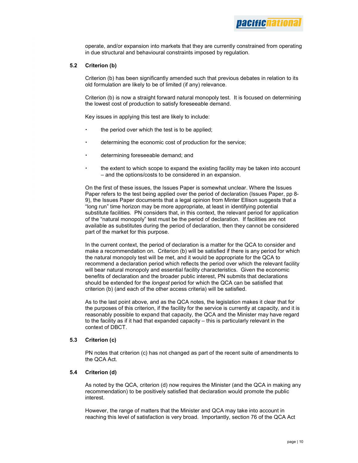nacifichatil

operate, and/or expansion into markets that they are currently constrained from operating in due structural and behavioural constraints imposed by regulation.

#### 5.2 Criterion (b)

Criterion (b) has been significantly amended such that previous debates in relation to its old formulation are likely to be of limited (if any) relevance.

Criterion (b) is now a straight forward natural monopoly test. It is focused on determining the lowest cost of production to satisfy foreseeable demand.

Key issues in applying this test are likely to include:

- the period over which the test is to be applied;
- determining the economic cost of production for the service;
- determining foreseeable demand; and
- the extent to which scope to expand the existing facility may be taken into account – and the options/costs to be considered in an expansion.

On the first of these issues, the Issues Paper is somewhat unclear. Where the Issues Paper refers to the test being applied over the period of declaration (Issues Paper, pp 8- 9), the Issues Paper documents that a legal opinion from Minter Ellison suggests that a "long run" time horizon may be more appropriate, at least in identifying potential substitute facilities. PN considers that, in this context, the relevant period for application of the "natural monopoly" test must be the period of declaration. If facilities are not available as substitutes during the period of declaration, then they cannot be considered part of the market for this purpose.

In the current context, the period of declaration is a matter for the QCA to consider and make a recommendation on. Criterion (b) will be satisfied if there is any period for which the natural monopoly test will be met, and it would be appropriate for the QCA to recommend a declaration period which reflects the period over which the relevant facility will bear natural monopoly and essential facility characteristics. Given the economic benefits of declaration and the broader public interest, PN submits that declarations should be extended for the longest period for which the QCA can be satisfied that criterion (b) (and each of the other access criteria) will be satisfied.

As to the last point above, and as the QCA notes, the legislation makes it clear that for the purposes of this criterion, if the facility for the service is currently at capacity, and it is reasonably possible to expand that capacity, the QCA and the Minister may have regard to the facility as if it had that expanded capacity – this is particularly relevant in the context of DBCT.

#### 5.3 Criterion (c)

PN notes that criterion (c) has not changed as part of the recent suite of amendments to the QCA Act.

#### 5.4 Criterion (d)

As noted by the QCA, criterion (d) now requires the Minister (and the QCA in making any recommendation) to be positively satisfied that declaration would promote the public interest.

However, the range of matters that the Minister and QCA may take into account in reaching this level of satisfaction is very broad. Importantly, section 76 of the QCA Act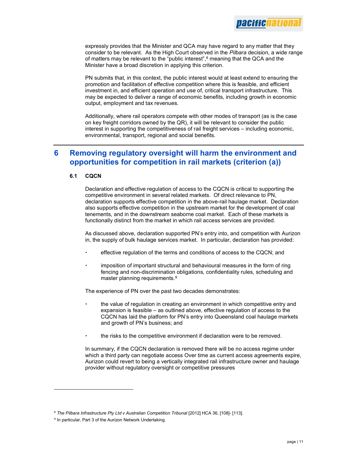

expressly provides that the Minister and QCA may have regard to any matter that they consider to be relevant. As the High Court observed in the *Pilbara* decision, a wide range of matters may be relevant to the "public interest", $8$  meaning that the QCA and the Minister have a broad discretion in applying this criterion.

PN submits that, in this context, the public interest would at least extend to ensuring the promotion and facilitation of effective competition where this is feasible, and efficient investment in, and efficient operation and use of, critical transport infrastructure. This may be expected to deliver a range of economic benefits, including growth in economic output, employment and tax revenues.

Additionally, where rail operators compete with other modes of transport (as is the case on key freight corridors owned by the QR), it will be relevant to consider the public interest in supporting the competitiveness of rail freight services – including economic, environmental, transport, regional and social benefits.

## 6 Removing regulatory oversight will harm the environment and opportunities for competition in rail markets (criterion (a))

#### 6.1 CQCN

Declaration and effective regulation of access to the CQCN is critical to supporting the competitive environment in several related markets. Of direct relevance to PN, declaration supports effective competition in the above-rail haulage market. Declaration also supports effective competition in the upstream market for the development of coal tenements, and in the downstream seaborne coal market. Each of these markets is functionally distinct from the market in which rail access services are provided.

As discussed above, declaration supported PN's entry into, and competition with Aurizon in, the supply of bulk haulage services market. In particular, declaration has provided:

- effective regulation of the terms and conditions of access to the CQCN; and
- imposition of important structural and behavioural measures in the form of ring fencing and non-discrimination obligations, confidentiality rules, scheduling and master planning requirements.<sup>9</sup>

The experience of PN over the past two decades demonstrates:

- the value of regulation in creating an environment in which competitive entry and expansion is feasible – as outlined above, effective regulation of access to the CQCN has laid the platform for PN's entry into Queensland coal haulage markets and growth of PN's business; and
- the risks to the competitive environment if declaration were to be removed.

In summary, if the CQCN declaration is removed there will be no access regime under which a third party can negotiate access Over time as current access agreements expire, Aurizon could revert to being a vertically integrated rail infrastructure owner and haulage provider without regulatory oversight or competitive pressures

<sup>&</sup>lt;sup>8</sup> The Pilbara Infrastructure Pty Ltd v Australian Competition Tribunal [2012] HCA 36, [108]- [113].

<sup>&</sup>lt;sup>9</sup> In particular, Part 3 of the Aurizon Network Undertaking.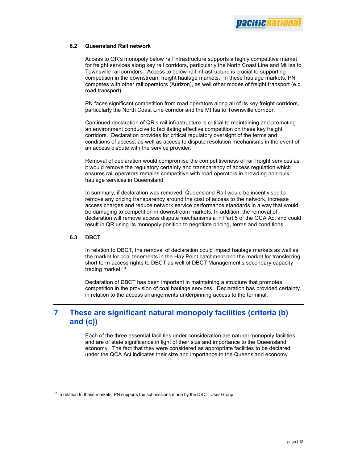

#### 6.2 Queensland Rail network

Access to QR's monopoly below rail infrastructure supports a highly competitive market for freight services along key rail corridors, particularly the North Coast Line and Mt Isa to Townsville rail corridors. Access to below-rail infrastructure is crucial to supporting competition in the downstream freight haulage markets. In these haulage markets, PN competes with other rail operators (Aurizon), as well other modes of freight transport (e.g. road transport).

PN faces significant competition from road operators along all of its key freight corridors, particularly the North Coast Line corridor and the Mt Isa to Townsville corridor.

Continued declaration of QR's rail infrastructure is critical to maintaining and promoting an environment conducive to facilitating effective competition on these key freight corridors. Declaration provides for critical regulatory oversight of the terms and conditions of access, as well as access to dispute resolution mechanisms in the event of an access dispute with the service provider.

Removal of declaration would compromise the competitiveness of rail freight services as it would remove the regulatory certainty and transparency of access regulation which ensures rail operators remains competitive with road operators in providing non-bulk haulage services in Queensland.

In summary, if declaration was removed, Queensland Rail would be incentivised to remove any pricing transparency around the cost of access to the network, increase access charges and reduce network service performance standards in a way that would be damaging to competition in downstream markets. In addition, the removal of declaration will remove access dispute mechanisms a in Part 5 of the QCA Act and could result in QR using its monopoly position to negotiate pricing, terms and conditions.

#### 6.3 DBCT

In relation to DBCT, the removal of declaration could impact haulage markets as well as the market for coal tenements in the Hay Point catchment and the market for transferring short term access rights to DBCT as well of DBCT Management's secondary capacity trading market.<sup>10</sup>

Declaration of DBCT has been important in maintaining a structure that promotes competition in the provision of coal haulage services. Declaration has provided certainty in relation to the access arrangements underpinning access to the terminal.

# 7 These are significant natural monopoly facilities (criteria (b) and (c))

Each of the three essential facilities under consideration are natural monopoly facilities, and are of state significance in light of their size and importance to the Queensland economy. The fact that they were considered as appropriate facilities to be declared under the QCA Act indicates their size and importance to the Queensland economy.

<sup>&</sup>lt;sup>10</sup> In relation to these markets, PN supports the submissions made by the DBCT User Group.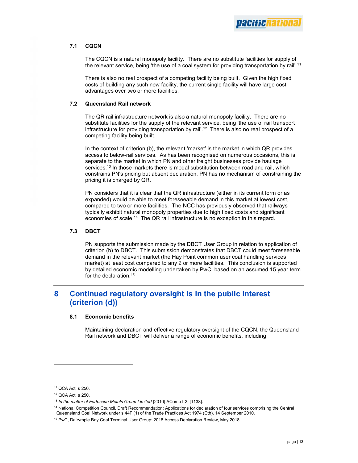## 7.1 CQCN

The CQCN is a natural monopoly facility. There are no substitute facilities for supply of the relevant service, being 'the use of a coal system for providing transportation by rail'.<sup>11</sup>

There is also no real prospect of a competing facility being built. Given the high fixed costs of building any such new facility, the current single facility will have large cost advantages over two or more facilities.

### 7.2 Queensland Rail network

The QR rail infrastructure network is also a natural monopoly facility. There are no substitute facilities for the supply of the relevant service, being 'the use of rail transport infrastructure for providing transportation by rail'.<sup>12</sup> There is also no real prospect of a competing facility being built.

In the context of criterion (b), the relevant 'market' is the market in which QR provides access to below-rail services. As has been recognised on numerous occasions, this is separate to the market in which PN and other freight businesses provide haulage services.<sup>13</sup> In those markets there is modal substitution between road and rail, which constrains PN's pricing but absent declaration, PN has no mechanism of constraining the pricing it is charged by QR.

PN considers that it is clear that the QR infrastructure (either in its current form or as expanded) would be able to meet foreseeable demand in this market at lowest cost, compared to two or more facilities. The NCC has previously observed that railways typically exhibit natural monopoly properties due to high fixed costs and significant economies of scale.<sup>14</sup> The QR rail infrastructure is no exception in this regard.

## 7.3 DBCT

PN supports the submission made by the DBCT User Group in relation to application of criterion (b) to DBCT. This submission demonstrates that DBCT could meet foreseeable demand in the relevant market (the Hay Point common user coal handling services market) at least cost compared to any 2 or more facilities. This conclusion is supported by detailed economic modelling undertaken by PwC, based on an assumed 15 year term for the declaration.<sup>15</sup>

# 8 Continued regulatory oversight is in the public interest (criterion (d))

## 8.1 Economic benefits

Maintaining declaration and effective regulatory oversight of the CQCN, the Queensland Rail network and DBCT will deliver a range of economic benefits, including:

<sup>11</sup> QCA Act, s 250.

<sup>12</sup> QCA Act, s 250.

<sup>&</sup>lt;sup>13</sup> In the matter of Fortescue Metals Group Limited [2010] ACompT 2, [1138].

<sup>14</sup> National Competition Council, Draft Recommendation: Applications for declaration of four services comprising the Central Queensland Coal Network under s 44F (1) of the Trade Practices Act 1974 (Cth), 14 September 2010.

<sup>15</sup> PwC, Dalrymple Bay Coal Terminal User Group: 2018 Access Declaration Review, May 2018.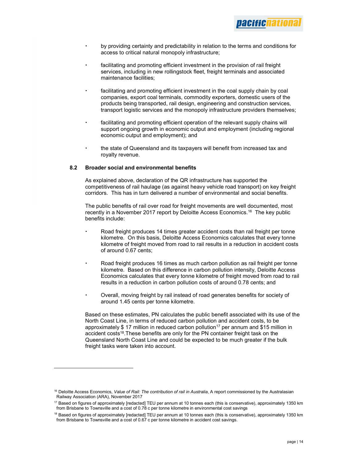- by providing certainty and predictability in relation to the terms and conditions for access to critical natural monopoly infrastructure;
- facilitating and promoting efficient investment in the provision of rail freight services, including in new rollingstock fleet, freight terminals and associated maintenance facilities;
- facilitating and promoting efficient investment in the coal supply chain by coal companies, export coal terminals, commodity exporters, domestic users of the products being transported, rail design, engineering and construction services, transport logistic services and the monopoly infrastructure providers themselves;
- facilitating and promoting efficient operation of the relevant supply chains will support ongoing growth in economic output and employment (including regional economic output and employment); and
- the state of Queensland and its taxpayers will benefit from increased tax and royalty revenue.

#### 8.2 Broader social and environmental benefits

As explained above, declaration of the QR infrastructure has supported the competitiveness of rail haulage (as against heavy vehicle road transport) on key freight corridors. This has in turn delivered a number of environmental and social benefits.

The public benefits of rail over road for freight movements are well documented, most recently in a November 2017 report by Deloitte Access Economics.<sup>16</sup> The key public benefits include:

- Road freight produces 14 times greater accident costs than rail freight per tonne kilometre. On this basis, Deloitte Access Economics calculates that every tonne kilometre of freight moved from road to rail results in a reduction in accident costs of around 0.67 cents;
- Road freight produces 16 times as much carbon pollution as rail freight per tonne kilometre. Based on this difference in carbon pollution intensity, Deloitte Access Economics calculates that every tonne kilometre of freight moved from road to rail results in a reduction in carbon pollution costs of around 0.78 cents; and
- Overall, moving freight by rail instead of road generates benefits for society of around 1.45 cents per tonne kilometre.

Based on these estimates, PN calculates the public benefit associated with its use of the North Coast Line, in terms of reduced carbon pollution and accident costs, to be approximately  $$ 17$  million in reduced carbon pollution<sup>17</sup> per annum and  $$15$  million in accident costs<sup>18</sup>.These benefits are only for the PN container freight task on the Queensland North Coast Line and could be expected to be much greater if the bulk freight tasks were taken into account.

<sup>&</sup>lt;sup>16</sup> Deloitte Access Economics, Value of Rail: The contribution of rail in Australia, A report commissioned by the Australasian Railway Association (ARA), November 2017

 $17$  Based on figures of approximately [redacted] TEU per annum at 10 tonnes each (this is conservative), approximately 1350 km from Brisbane to Townsville and a cost of 0.78 c per tonne kilometre in environmental cost savings

<sup>&</sup>lt;sup>18</sup> Based on figures of approximately [redacted] TEU per annum at 10 tonnes each (this is conservative), approximately 1350 km from Brisbane to Townsville and a cost of 0.67 c per tonne kilometre in accident cost savings.